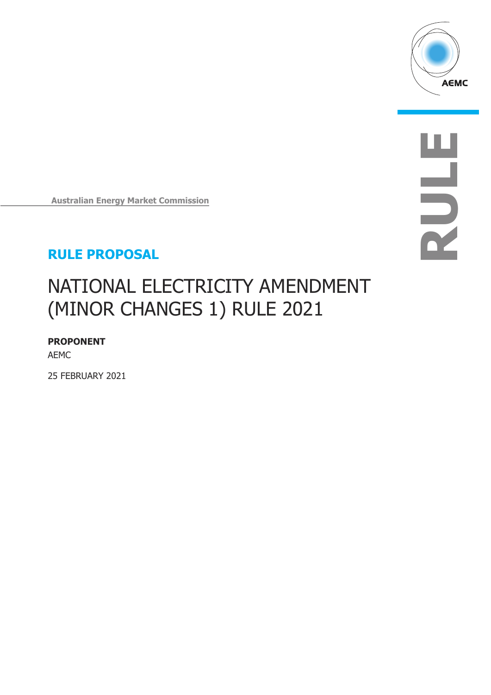

**RULE**

**Australian Energy Market Commission**

# **RULE PROPOSAL**

# NATIONAL ELECTRICITY AMENDMENT (MINOR CHANGES 1) RULE 2021

### **PROPONENT**

AEMC

25 FEBRUARY 2021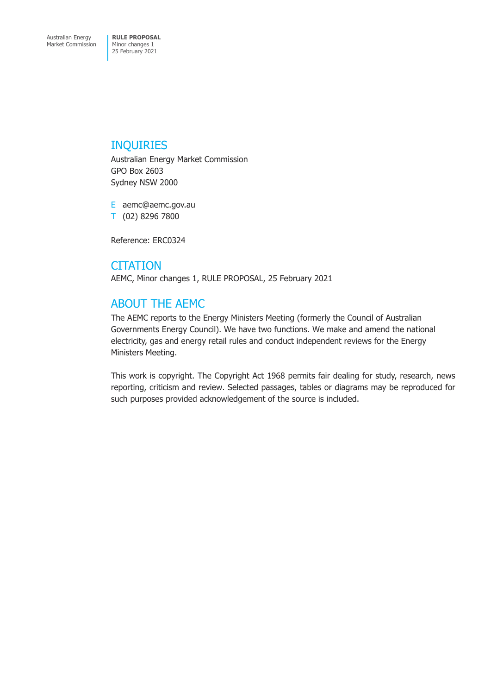### INQUIRIES

Australian Energy Market Commission GPO Box 2603 Sydney NSW 2000

E aemc@aemc.gov.au T (02) 8296 7800

Reference: ERC0324

**CITATION** AEMC, Minor changes 1, RULE PROPOSAL, 25 February 2021

## ABOUT THE AEMC

The AEMC reports to the Energy Ministers Meeting (formerly the Council of Australian Governments Energy Council). We have two functions. We make and amend the national electricity, gas and energy retail rules and conduct independent reviews for the Energy Ministers Meeting.

This work is copyright. The Copyright Act 1968 permits fair dealing for study, research, news reporting, criticism and review. Selected passages, tables or diagrams may be reproduced for such purposes provided acknowledgement of the source is included.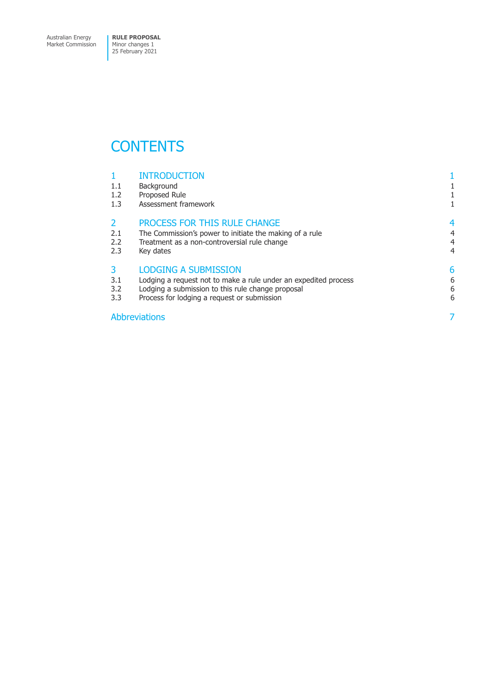Australian Energy Market Commission **RULE PROPOSAL** Minor changes 1 25 February 2021

# **CONTENTS**

# 1 [INTRODUCTION](#page-3-0) 1.1 Background 1

- 1.1 [Background](#page-3-0) 1<br>1.2 Proposed Rule 1
- 
- 1.2 [Proposed Rule](#page-3-0) 1.3 Assessment framework 1 [Assessment framework](#page-3-0)

# [PROCESS FOR THIS RULE CHANGE](#page-6-0)<br>
2.1 The Commission's power to initiate the making of a rule<br>
4

- 2.1 [The Commission's power to initiate the making of a rule](#page-6-0)<br>2.2 Treatment as a non-controversial rule change<br>4
- 2.2 [Treatment as a non-controversial rule change](#page-6-0)<br>
2.3 Key dates 4
- 2.3 [Key dates](#page-6-0) 4

- 3 [LODGING A SUBMISSION](#page-8-0)<br>3.1 Lodging a request not to make a rule under an expedited process 6 3.1 [Lodging a request not to make a rule under an expedited process](#page-8-0) 6<br>3.2 Lodging a submission to this rule change proposal 6
- 3.2 [Lodging a submission to this rule change proposal](#page-8-0) 6<br>3.3 Process for lodging a request or submission 6
- [Process for lodging a request or submission](#page-8-0)

### [Abbreviations](#page-9-0) 7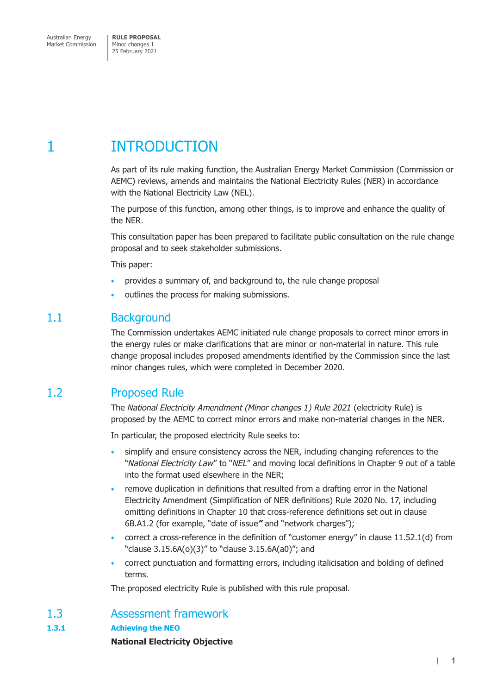# <span id="page-3-0"></span>1 INTRODUCTION

As part of its rule making function, the Australian Energy Market Commission (Commission or AEMC) reviews, amends and maintains the National Electricity Rules (NER) in accordance with the National Electricity Law (NEL).

The purpose of this function, among other things, is to improve and enhance the quality of the NER.

This consultation paper has been prepared to facilitate public consultation on the rule change proposal and to seek stakeholder submissions.

This paper:

- provides a summary of, and background to, the rule change proposal
- outlines the process for making submissions.

### 1.1 Background

The Commission undertakes AEMC initiated rule change proposals to correct minor errors in the energy rules or make clarifications that are minor or non-material in nature. This rule change proposal includes proposed amendments identified by the Commission since the last minor changes rules, which were completed in December 2020.

### 1.2 Proposed Rule

The *National Electricity Amendment (Minor changes 1) Rule 2021* (electricity Rule) is proposed by the AEMC to correct minor errors and make non-material changes in the NER.

In particular, the proposed electricity Rule seeks to:

- simplify and ensure consistency across the NER, including changing references to the "*National Electricity Law*" to "*NEL*" and moving local definitions in Chapter 9 out of a table into the format used elsewhere in the NER;
- remove duplication in definitions that resulted from a drafting error in the National Electricity Amendment (Simplification of NER definitions) Rule 2020 No. 17, including omitting definitions in Chapter 10 that cross-reference definitions set out in clause 6B.A1.2 (for example, "date of issue*"* and "network charges");
- correct a cross-reference in the definition of "customer energy" in clause 11.52.1(d) from "clause 3.15.6A(o)(3)" to "clause 3.15.6A(a0)"; and
- correct punctuation and formatting errors, including italicisation and bolding of defined terms.

The proposed electricity Rule is published with this rule proposal.

1.3 Assessment framework

**1.3.1 Achieving the NEO** 

**National Electricity Objective**

т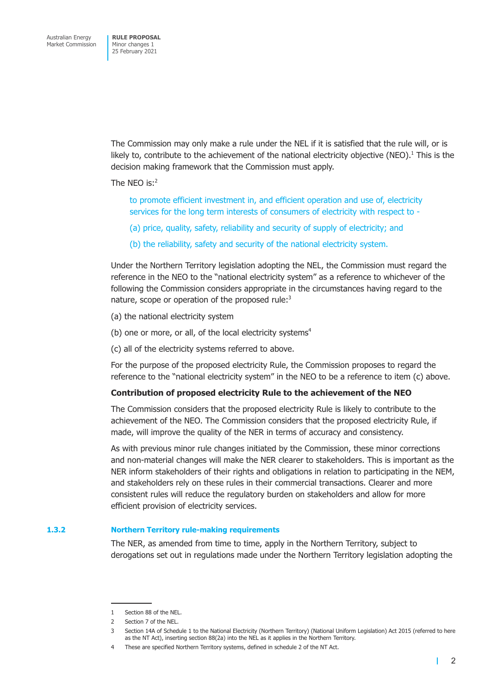The Commission may only make a rule under the NEL if it is satisfied that the rule will, or is likely to, contribute to the achievement of the national electricity objective (NEO).<sup>1</sup> This is the decision making framework that the Commission must apply.

### The NEO is:2

to promote efficient investment in, and efficient operation and use of, electricity services for the long term interests of consumers of electricity with respect to -

- (a) price, quality, safety, reliability and security of supply of electricity; and
- (b) the reliability, safety and security of the national electricity system.

Under the Northern Territory legislation adopting the NEL, the Commission must regard the reference in the NEO to the "national electricity system" as a reference to whichever of the following the Commission considers appropriate in the circumstances having regard to the nature, scope or operation of the proposed rule:<sup>3</sup>

- (a) the national electricity system
- (b) one or more, or all, of the local electricity systems $4$
- (c) all of the electricity systems referred to above.

For the purpose of the proposed electricity Rule, the Commission proposes to regard the reference to the "national electricity system" in the NEO to be a reference to item (c) above.

### **Contribution of proposed electricity Rule to the achievement of the NEO**

The Commission considers that the proposed electricity Rule is likely to contribute to the achievement of the NEO. The Commission considers that the proposed electricity Rule, if made, will improve the quality of the NER in terms of accuracy and consistency.

As with previous minor rule changes initiated by the Commission, these minor corrections and non-material changes will make the NER clearer to stakeholders. This is important as the NER inform stakeholders of their rights and obligations in relation to participating in the NEM, and stakeholders rely on these rules in their commercial transactions. Clearer and more consistent rules will reduce the regulatory burden on stakeholders and allow for more efficient provision of electricity services.

#### **1.3.2 Northern Territory rule-making requirements**

The NER, as amended from time to time, apply in the Northern Territory, subject to derogations set out in regulations made under the Northern Territory legislation adopting the

т

<sup>1</sup> Section 88 of the NEL.

<sup>2</sup> Section 7 of the NEL.

<sup>3</sup> Section 14A of Schedule 1 to the National Electricity (Northern Territory) (National Uniform Legislation) Act 2015 (referred to here as the NT Act), inserting section 88(2a) into the NEL as it applies in the Northern Territory.

<sup>4</sup> These are specified Northern Territory systems, defined in schedule 2 of the NT Act.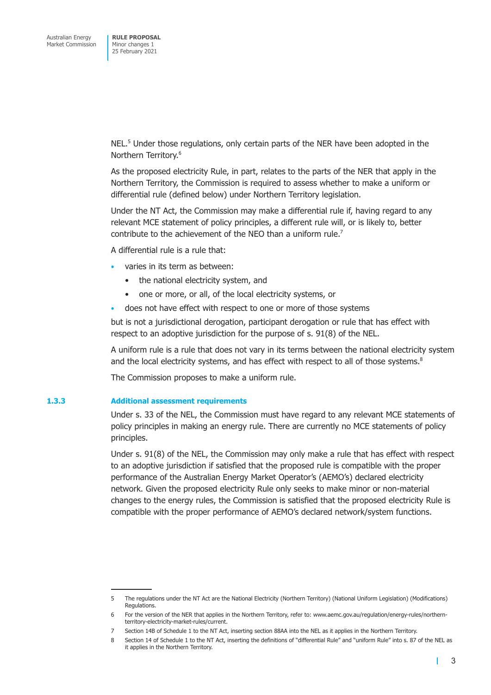NEL.<sup>5</sup> Under those regulations, only certain parts of the NER have been adopted in the Northern Territory.6

As the proposed electricity Rule, in part, relates to the parts of the NER that apply in the Northern Territory, the Commission is required to assess whether to make a uniform or differential rule (defined below) under Northern Territory legislation.

Under the NT Act, the Commission may make a differential rule if, having regard to any relevant MCE statement of policy principles, a different rule will, or is likely to, better contribute to the achievement of the NEO than a uniform rule.<sup>7</sup>

A differential rule is a rule that:

- varies in its term as between:
	- the national electricity system, and
	- one or more, or all, of the local electricity systems, or
- does not have effect with respect to one or more of those systems

but is not a jurisdictional derogation, participant derogation or rule that has effect with respect to an adoptive jurisdiction for the purpose of s. 91(8) of the NEL.

A uniform rule is a rule that does not vary in its terms between the national electricity system and the local electricity systems, and has effect with respect to all of those systems.<sup>8</sup>

The Commission proposes to make a uniform rule.

#### **1.3.3 Additional assessment requirements**

Under s. 33 of the NEL, the Commission must have regard to any relevant MCE statements of policy principles in making an energy rule. There are currently no MCE statements of policy principles.

Under s. 91(8) of the NEL, the Commission may only make a rule that has effect with respect to an adoptive jurisdiction if satisfied that the proposed rule is compatible with the proper performance of the Australian Energy Market Operator's (AEMO's) declared electricity network. Given the proposed electricity Rule only seeks to make minor or non-material changes to the energy rules, the Commission is satisfied that the proposed electricity Rule is compatible with the proper performance of AEMO's declared network/system functions.

г

<sup>5</sup> The regulations under the NT Act are the National Electricity (Northern Territory) (National Uniform Legislation) (Modifications) **Regulations** 

<sup>6</sup> For the version of the NER that applies in the Northern Territory, refer to: www.aemc.gov.au/regulation/energy-rules/northernterritory-electricity-market-rules/current.

<sup>7</sup> Section 14B of Schedule 1 to the NT Act, inserting section 88AA into the NEL as it applies in the Northern Territory.

<sup>8</sup> Section 14 of Schedule 1 to the NT Act, inserting the definitions of "differential Rule" and "uniform Rule" into s. 87 of the NEL as it applies in the Northern Territory.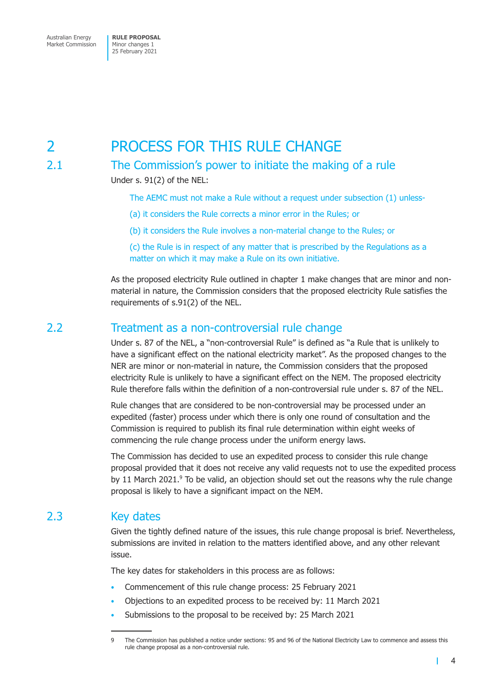# <span id="page-6-0"></span>2 PROCESS FOR THIS RULE CHANGE

# 2.1 The Commission's power to initiate the making of a rule

Under s. 91(2) of the NEL:

The AEMC must not make a Rule without a request under subsection (1) unless-

- (a) it considers the Rule corrects a minor error in the Rules; or
- (b) it considers the Rule involves a non-material change to the Rules; or

(c) the Rule is in respect of any matter that is prescribed by the Regulations as a matter on which it may make a Rule on its own initiative.

As the proposed electricity Rule outlined in chapter 1 make changes that are minor and nonmaterial in nature, the Commission considers that the proposed electricity Rule satisfies the requirements of s.91(2) of the NEL.

## 2.2 Treatment as a non-controversial rule change

Under s. 87 of the NEL, a "non-controversial Rule" is defined as "a Rule that is unlikely to have a significant effect on the national electricity market". As the proposed changes to the NER are minor or non-material in nature, the Commission considers that the proposed electricity Rule is unlikely to have a significant effect on the NEM. The proposed electricity Rule therefore falls within the definition of a non-controversial rule under s. 87 of the NEL.

Rule changes that are considered to be non-controversial may be processed under an expedited (faster) process under which there is only one round of consultation and the Commission is required to publish its final rule determination within eight weeks of commencing the rule change process under the uniform energy laws.

The Commission has decided to use an expedited process to consider this rule change proposal provided that it does not receive any valid requests not to use the expedited process by 11 March 2021.<sup>9</sup> To be valid, an objection should set out the reasons why the rule change proposal is likely to have a significant impact on the NEM.

### 2.3 Key dates

Given the tightly defined nature of the issues, this rule change proposal is brief. Nevertheless, submissions are invited in relation to the matters identified above, and any other relevant issue.

The key dates for stakeholders in this process are as follows:

- Commencement of this rule change process: 25 February 2021
- Objections to an expedited process to be received by: 11 March 2021
- Submissions to the proposal to be received by: 25 March 2021

Т

<sup>9</sup> The Commission has published a notice under sections: 95 and 96 of the National Electricity Law to commence and assess this rule change proposal as a non-controversial rule.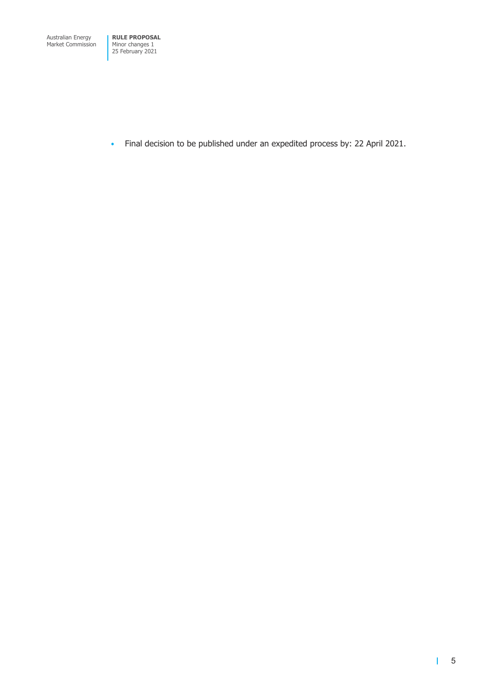• Final decision to be published under an expedited process by: 22 April 2021.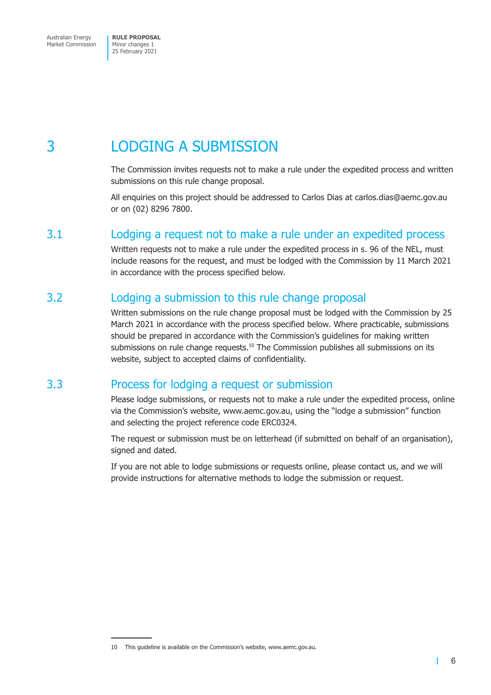# <span id="page-8-0"></span>3 LODGING A SUBMISSION

The Commission invites requests not to make a rule under the expedited process and written submissions on this rule change proposal.

All enquiries on this project should be addressed to Carlos Dias at carlos.dias@aemc.gov.au or on (02) 8296 7800.

### 3.1 Lodging a request not to make a rule under an expedited process

Written requests not to make a rule under the expedited process in s. 96 of the NEL, must include reasons for the request, and must be lodged with the Commission by 11 March 2021 in accordance with the process specified below.

## 3.2 Lodging a submission to this rule change proposal

Written submissions on the rule change proposal must be lodged with the Commission by 25 March 2021 in accordance with the process specified below. Where practicable, submissions should be prepared in accordance with the Commission's guidelines for making written submissions on rule change requests. $10$  The Commission publishes all submissions on its website, subject to accepted claims of confidentiality.

### 3.3 Process for lodging a request or submission

Please lodge submissions, or requests not to make a rule under the expedited process, online via the Commission's website, www.aemc.gov.au, using the "lodge a submission" function and selecting the project reference code ERC0324.

The request or submission must be on letterhead (if submitted on behalf of an organisation), signed and dated.

If you are not able to lodge submissions or requests online, please contact us, and we will provide instructions for alternative methods to lodge the submission or request.

т

<sup>10</sup> This guideline is available on the Commission's website, www.aemc.gov.au.